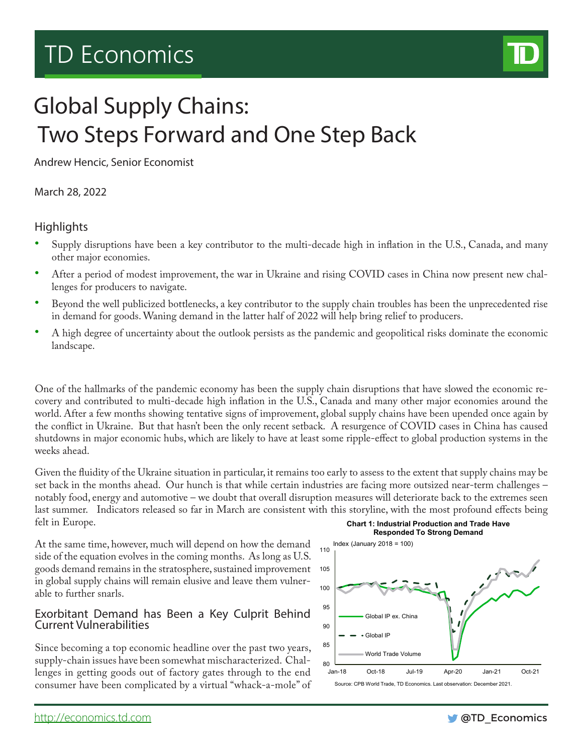# TD Economics



## Global Supply Chains: Two Steps Forward and One Step Back

Andrew Hencic, Senior Economist

March 28, 2022

## **Highlights**

- Supply disruptions have been a key contributor to the multi-decade high in inflation in the U.S., Canada, and many other major economies.
- After a period of modest improvement, the war in Ukraine and rising COVID cases in China now present new challenges for producers to navigate.
- Beyond the well publicized bottlenecks, a key contributor to the supply chain troubles has been the unprecedented rise in demand for goods. Waning demand in the latter half of 2022 will help bring relief to producers.
- A high degree of uncertainty about the outlook persists as the pandemic and geopolitical risks dominate the economic landscape.

One of the hallmarks of the pandemic economy has been the supply chain disruptions that have slowed the economic recovery and contributed to multi-decade high inflation in the U.S., Canada and many other major economies around the world. After a few months showing tentative signs of improvement, global supply chains have been upended once again by the conflict in Ukraine. But that hasn't been the only recent setback. A resurgence of COVID cases in China has caused shutdowns in major economic hubs, which are likely to have at least some ripple-effect to global production systems in the weeks ahead.

Given the fluidity of the Ukraine situation in particular, it remains too early to assess to the extent that supply chains may be set back in the months ahead. Our hunch is that while certain industries are facing more outsized near-term challenges – notably food, energy and automotive – we doubt that overall disruption measures will deteriorate back to the extremes seen last summer. Indicators released so far in March are consistent with this storyline, with the most profound effects being felt in Europe. **Chart 1: Industrial Production and Trade Have** 

At the same time, however, much will depend on how the demand side of the equation evolves in the coming months. As long as U.S. goods demand remains in the stratosphere, sustained improvement in global supply chains will remain elusive and leave them vulnerable to further snarls.

## Exorbitant Demand has Been a Key Culprit Behind Current Vulnerabilities

Since becoming a top economic headline over the past two years, supply-chain issues have been somewhat mischaracterized. Challenges in getting goods out of factory gates through to the end consumer have been complicated by a virtual "whack-a-mole" of



Source: CPB World Trade, TD Economics. Last observation: December 2021.

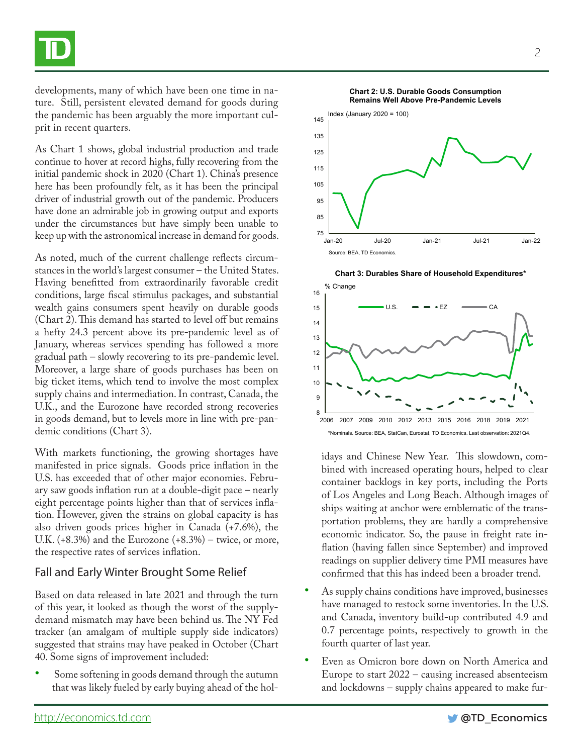developments, many of which have been one time in nature. Still, persistent elevated demand for goods during the pandemic has been arguably the more important culprit in recent quarters.

As Chart 1 shows, global industrial production and trade continue to hover at record highs, fully recovering from the initial pandemic shock in 2020 (Chart 1). China's presence here has been profoundly felt, as it has been the principal driver of industrial growth out of the pandemic. Producers have done an admirable job in growing output and exports under the circumstances but have simply been unable to keep up with the astronomical increase in demand for goods.

As noted, much of the current challenge reflects circumstances in the world's largest consumer – the United States. Having benefitted from extraordinarily favorable credit conditions, large fiscal stimulus packages, and substantial wealth gains consumers spent heavily on durable goods (Chart 2). This demand has started to level off but remains a hefty 24.3 percent above its pre-pandemic level as of January, whereas services spending has followed a more gradual path – slowly recovering to its pre-pandemic level. Moreover, a large share of goods purchases has been on big ticket items, which tend to involve the most complex supply chains and intermediation. In contrast, Canada, the U.K., and the Eurozone have recorded strong recoveries in goods demand, but to levels more in line with pre-pandemic conditions (Chart 3).

With markets functioning, the growing shortages have manifested in price signals. Goods price inflation in the U.S. has exceeded that of other major economies. February saw goods inflation run at a double-digit pace – nearly eight percentage points higher than that of services inflation. However, given the strains on global capacity is has also driven goods prices higher in Canada (+7.6%), the U.K.  $(+8.3\%)$  and the Eurozone  $(+8.3\%)$  – twice, or more, the respective rates of services inflation.

## Fall and Early Winter Brought Some Relief

Based on data released in late 2021 and through the turn of this year, it looked as though the worst of the supplydemand mismatch may have been behind us. The NY Fed tracker (an amalgam of multiple supply side indicators) suggested that strains may have peaked in October (Chart 40. Some signs of improvement included:

Some softening in goods demand through the autumn that was likely fueled by early buying ahead of the hol-



**Chart 3: Durables Share of Household Expenditures\***



idays and Chinese New Year. This slowdown, combined with increased operating hours, helped to clear container backlogs in key ports, including the Ports of Los Angeles and Long Beach. Although images of ships waiting at anchor were emblematic of the transportation problems, they are hardly a comprehensive economic indicator. So, the pause in freight rate inflation (having fallen since September) and improved readings on supplier delivery time PMI measures have confirmed that this has indeed been a broader trend.

- As supply chains conditions have improved, businesses have managed to restock some inventories. In the U.S. and Canada, inventory build-up contributed 4.9 and 0.7 percentage points, respectively to growth in the fourth quarter of last year.
- Even as Omicron bore down on North America and Europe to start 2022 – causing increased absenteeism and lockdowns – supply chains appeared to make fur-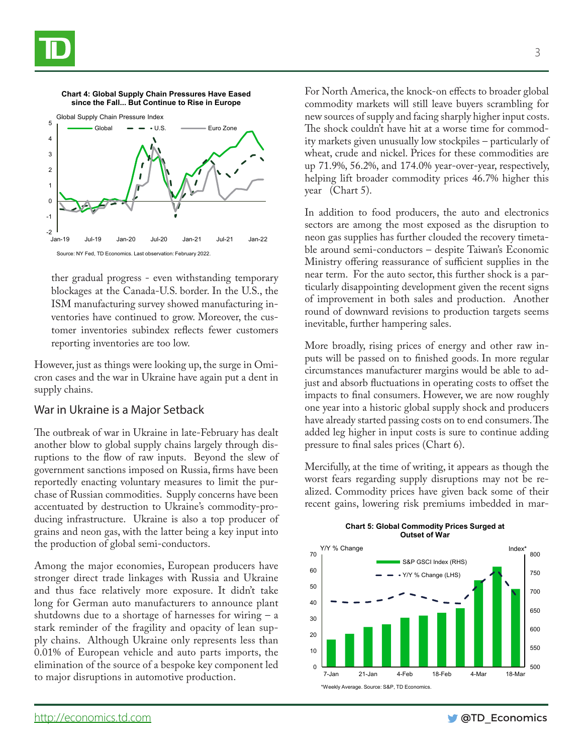



**Chart 4: Global Supply Chain Pressures Have Eased** 

ther gradual progress - even withstanding temporary blockages at the Canada-U.S. border. In the U.S., the ISM manufacturing survey showed manufacturing inventories have continued to grow. Moreover, the customer inventories subindex reflects fewer customers reporting inventories are too low.

However, just as things were looking up, the surge in Omicron cases and the war in Ukraine have again put a dent in supply chains.

## War in Ukraine is a Major Setback

The outbreak of war in Ukraine in late-February has dealt another blow to global supply chains largely through disruptions to the flow of raw inputs. Beyond the slew of government sanctions imposed on Russia, firms have been reportedly enacting voluntary measures to limit the purchase of Russian commodities. Supply concerns have been accentuated by destruction to Ukraine's commodity-producing infrastructure. Ukraine is also a top producer of grains and neon gas, with the latter being a key input into the production of global semi-conductors.

Among the major economies, European producers have stronger direct trade linkages with Russia and Ukraine and thus face relatively more exposure. It didn't take long for German auto manufacturers to announce plant shutdowns due to a shortage of harnesses for wiring  $-$  a stark reminder of the fragility and opacity of lean supply chains. Although Ukraine only represents less than 0.01% of European vehicle and auto parts imports, the elimination of the source of a bespoke key component led to major disruptions in automotive production.

For North America, the knock-on effects to broader global commodity markets will still leave buyers scrambling for new sources of supply and facing sharply higher input costs. The shock couldn't have hit at a worse time for commodity markets given unusually low stockpiles – particularly of wheat, crude and nickel. Prices for these commodities are up 71.9%, 56.2%, and 174.0% year-over-year, respectively, helping lift broader commodity prices 46.7% higher this year (Chart 5).

In addition to food producers, the auto and electronics sectors are among the most exposed as the disruption to neon gas supplies has further clouded the recovery timetable around semi-conductors – despite Taiwan's Economic Ministry offering reassurance of sufficient supplies in the near term. For the auto sector, this further shock is a particularly disappointing development given the recent signs of improvement in both sales and production. Another round of downward revisions to production targets seems inevitable, further hampering sales.

More broadly, rising prices of energy and other raw inputs will be passed on to finished goods. In more regular circumstances manufacturer margins would be able to adjust and absorb fluctuations in operating costs to offset the impacts to final consumers. However, we are now roughly one year into a historic global supply shock and producers have already started passing costs on to end consumers. The added leg higher in input costs is sure to continue adding pressure to final sales prices (Chart 6).

Mercifully, at the time of writing, it appears as though the worst fears regarding supply disruptions may not be realized. Commodity prices have given back some of their recent gains, lowering risk premiums imbedded in mar-



#### **Chart 5: Global Commodity Prices Surged at Outset of War**



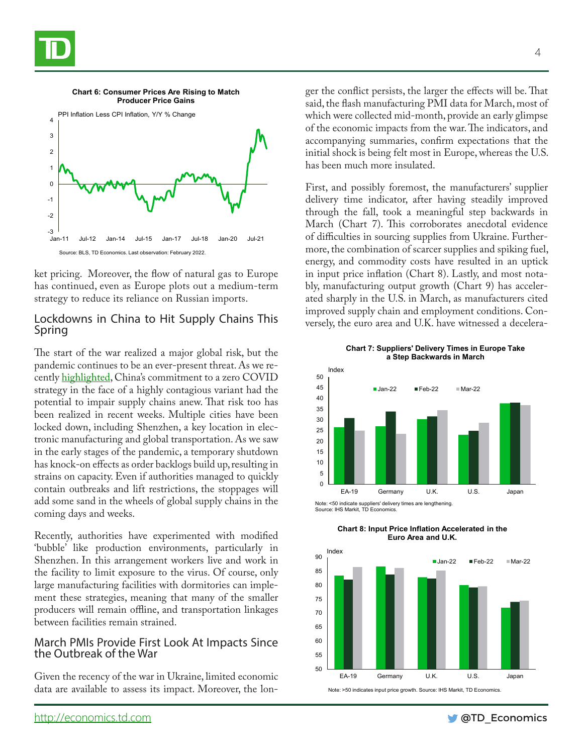



ket pricing. Moreover, the flow of natural gas to Europe has continued, even as Europe plots out a medium-term strategy to reduce its reliance on Russian imports.

## Lockdowns in China to Hit Supply Chains This Spring

The start of the war realized a major global risk, but the pandemic continues to be an ever-present threat. As we recently [highlighted,](https://economics.td.com/ca-questions-answers) China's commitment to a zero COVID strategy in the face of a highly contagious variant had the potential to impair supply chains anew. That risk too has been realized in recent weeks. Multiple cities have been locked down, including Shenzhen, a key location in electronic manufacturing and global transportation. As we saw in the early stages of the pandemic, a temporary shutdown has knock-on effects as order backlogs build up, resulting in strains on capacity. Even if authorities managed to quickly contain outbreaks and lift restrictions, the stoppages will add some sand in the wheels of global supply chains in the coming days and weeks.

Recently, authorities have experimented with modified 'bubble' like production environments, particularly in Shenzhen. In this arrangement workers live and work in the facility to limit exposure to the virus. Of course, only large manufacturing facilities with dormitories can implement these strategies, meaning that many of the smaller producers will remain offline, and transportation linkages between facilities remain strained.

### March PMIs Provide First Look At Impacts Since the Outbreak of the War

Given the recency of the war in Ukraine, limited economic data are available to assess its impact. Moreover, the longer the conflict persists, the larger the effects will be. That said, the flash manufacturing PMI data for March, most of which were collected mid-month, provide an early glimpse of the economic impacts from the war. The indicators, and accompanying summaries, confirm expectations that the initial shock is being felt most in Europe, whereas the U.S. has been much more insulated.

First, and possibly foremost, the manufacturers' supplier delivery time indicator, after having steadily improved through the fall, took a meaningful step backwards in March (Chart 7). This corroborates anecdotal evidence of difficulties in sourcing supplies from Ukraine. Furthermore, the combination of scarcer supplies and spiking fuel, energy, and commodity costs have resulted in an uptick in input price inflation (Chart 8). Lastly, and most notably, manufacturing output growth (Chart 9) has accelerated sharply in the U.S. in March, as manufacturers cited improved supply chain and employment conditions. Conversely, the euro area and U.K. have witnessed a decelera-

**Chart 7: Suppliers' Delivery Times in Europe Take a Step Backwards in March**



Note: <50 indicate suppliers' delivery times are lengthening. Source: IHS Markit, TD Economics.

**Chart 8: Input Price Inflation Accelerated in the Euro Area and U.K.** Index



Note: >50 indicates input price growth. Source: IHS Markit, TD Economics.

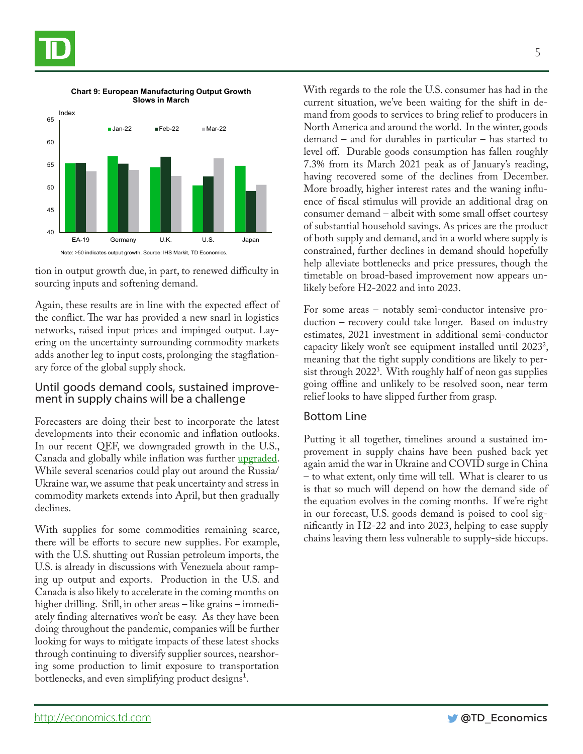



**Chart 9: European Manufacturing Output Growth Slows in March**

tion in output growth due, in part, to renewed difficulty in sourcing inputs and softening demand.

Again, these results are in line with the expected effect of the conflict. The war has provided a new snarl in logistics networks, raised input prices and impinged output. Layering on the uncertainty surrounding commodity markets adds another leg to input costs, prolonging the stagflationary force of the global supply shock.

## Until goods demand cools, sustained improve- ment in supply chains will be a challenge

Forecasters are doing their best to incorporate the latest developments into their economic and inflation outlooks. In our recent QEF, we downgraded growth in the U.S., Canada and globally while inflation was further [upgraded](https://economics.td.com/gbl-quarterly-economic-forecast). While several scenarios could play out around the Russia/ Ukraine war, we assume that peak uncertainty and stress in commodity markets extends into April, but then gradually declines.

With supplies for some commodities remaining scarce, there will be efforts to secure new supplies. For example, with the U.S. shutting out Russian petroleum imports, the U.S. is already in discussions with Venezuela about ramping up output and exports. Production in the U.S. and Canada is also likely to accelerate in the coming months on higher drilling. Still, in other areas – like grains – immediately finding alternatives won't be easy. As they have been doing throughout the pandemic, companies will be further looking for ways to mitigate impacts of these latest shocks through continuing to diversify supplier sources, nearshoring some production to limit exposure to transportation bottlenecks, and even simplifying product designs<sup>1</sup>.

With regards to the role the U.S. consumer has had in the current situation, we've been waiting for the shift in demand from goods to services to bring relief to producers in North America and around the world. In the winter, goods demand – and for durables in particular – has started to level off. Durable goods consumption has fallen roughly 7.3% from its March 2021 peak as of January's reading, having recovered some of the declines from December. More broadly, higher interest rates and the waning influence of fiscal stimulus will provide an additional drag on consumer demand – albeit with some small offset courtesy of substantial household savings. As prices are the product of both supply and demand, and in a world where supply is constrained, further declines in demand should hopefully help alleviate bottlenecks and price pressures, though the timetable on broad-based improvement now appears unlikely before H2-2022 and into 2023.

For some areas – notably semi-conductor intensive production – recovery could take longer. Based on industry estimates, 2021 investment in additional semi-conductor capacity likely won't see equipment installed until 2023<sup>2</sup>, meaning that the tight supply conditions are likely to persist through 20223 . With roughly half of neon gas supplies going offline and unlikely to be resolved soon, near term relief looks to have slipped further from grasp.

## Bottom Line

Putting it all together, timelines around a sustained improvement in supply chains have been pushed back yet again amid the war in Ukraine and COVID surge in China – to what extent, only time will tell. What is clearer to us is that so much will depend on how the demand side of the equation evolves in the coming months. If we're right in our forecast, U.S. goods demand is poised to cool significantly in H2-22 and into 2023, helping to ease supply chains leaving them less vulnerable to supply-side hiccups.

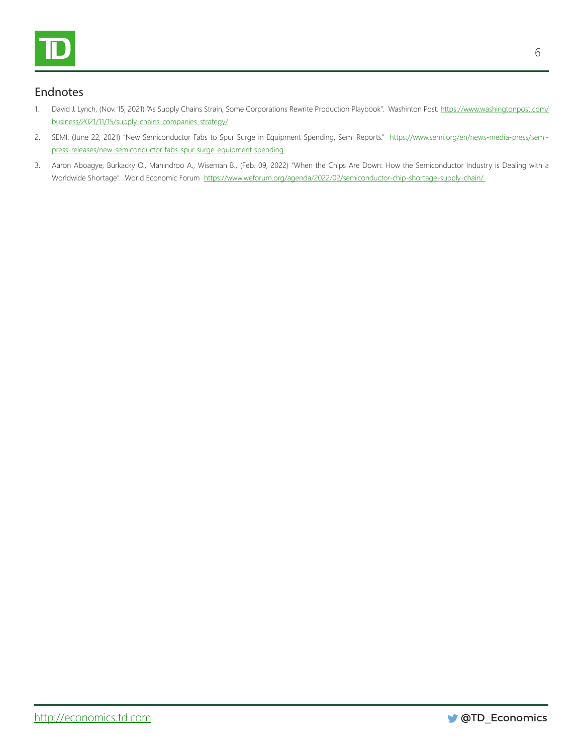

## Endnotes

- 1. David J. Lynch, (Nov. 15, 2021) "As Supply Chains Strain, Some Corporations Rewrite Production Playbook". Washinton Post. [https://www.washingtonpost.com/](https://www.washingtonpost.com/business/2021/11/15/supply-chains-companies-strategy/ ) [business/2021/11/15/supply-chains-companies-strategy/](https://www.washingtonpost.com/business/2021/11/15/supply-chains-companies-strategy/ )
- 2. SEMI. (June 22, 2021) "New Semiconductor Fabs to Spur Surge in Equipment Spending, Semi Reports." [https://www.semi.org/en/news-media-press/semi](  https://www.semi.org/en/news-media-press/semi-press-releases/new-semiconductor-fabs-spur-surge-equipment-spending 
  https://www.weforum.org/agenda/2022/02/semiconductor-chip-shortage-supply-chain/ 
)[press-releases/new-semiconductor-fabs-spur-surge-equipment-spending](  https://www.semi.org/en/news-media-press/semi-press-releases/new-semiconductor-fabs-spur-surge-equipment-spending 
  https://www.weforum.org/agenda/2022/02/semiconductor-chip-shortage-supply-chain/ 
)
- 3. Aaron Aboagye, Burkacky O., Mahindroo A., Wiseman B., (Feb. 09, 2022) "When the Chips Are Down: How the Semiconductor Industry is Dealing with a Worldwide Shortage". World Economic Forum https://www.weforum.org/agenda/2022/02/semiconductor-chip-shortage-supply-chain/